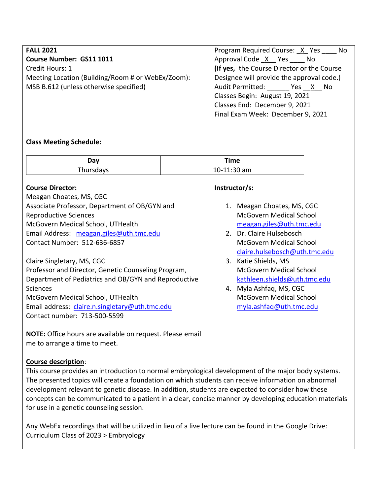| <b>FALL 2021</b>                                  | Program Required Course: X Yes _____ No    |  |
|---------------------------------------------------|--------------------------------------------|--|
| Course Number: GS11 1011                          | Approval Code X Yes No                     |  |
| Credit Hours: 1                                   | (If yes, the Course Director or the Course |  |
| Meeting Location (Building/Room # or WebEx/Zoom): | Designee will provide the approval code.)  |  |
| MSB B.612 (unless otherwise specified)            | Audit Permitted: ________ Yes __X__ No     |  |
|                                                   | Classes Begin: August 19, 2021             |  |
|                                                   | Classes End: December 9, 2021              |  |
|                                                   | Final Exam Week: December 9, 2021          |  |
|                                                   |                                            |  |

# **Class Meeting Schedule:**

| Day       | Time        |  |
|-----------|-------------|--|
| Thursdays | 10-11:30 am |  |

| <b>Course Director:</b>                                          | Instructor/s:                  |
|------------------------------------------------------------------|--------------------------------|
| Meagan Choates, MS, CGC                                          |                                |
| Associate Professor, Department of OB/GYN and                    | 1. Meagan Choates, MS, CGC     |
| <b>Reproductive Sciences</b>                                     | McGovern Medical School        |
| McGovern Medical School, UTHealth                                | meagan.giles@uth.tmc.edu       |
| Email Address: meagan.giles@uth.tmc.edu                          | 2. Dr. Claire Hulsebosch       |
| Contact Number: 512-636-6857                                     | McGovern Medical School        |
|                                                                  | claire.hulsebosch@uth.tmc.edu  |
| Claire Singletary, MS, CGC                                       | 3. Katie Shields, MS           |
| Professor and Director, Genetic Counseling Program,              | McGovern Medical School        |
| Department of Pediatrics and OB/GYN and Reproductive             | kathleen.shields@uth.tmc.edu   |
| <b>Sciences</b>                                                  | 4. Myla Ashfaq, MS, CGC        |
| McGovern Medical School, UTHealth                                | <b>McGovern Medical School</b> |
| Email address: claire.n.singletary@uth.tmc.edu                   | myla.ashfaq@uth.tmc.edu        |
| Contact number: 713-500-5599                                     |                                |
|                                                                  |                                |
| <b>NOTE:</b> Office hours are available on request. Please email |                                |
| me to arrange a time to meet.                                    |                                |

# **Course description**:

This course provides an introduction to normal embryological development of the major body systems. The presented topics will create a foundation on which students can receive information on abnormal development relevant to genetic disease. In addition, students are expected to consider how these concepts can be communicated to a patient in a clear, concise manner by developing education materials for use in a genetic counseling session.

Any WebEx recordings that will be utilized in lieu of a live lecture can be found in the Google Drive: Curriculum Class of 2023 > Embryology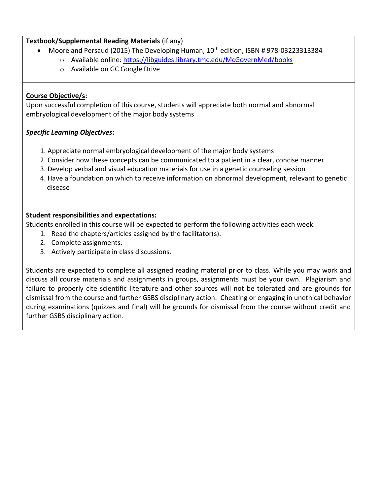# **Textbook/Supplemental Reading Materials** (if any)

- $\bullet$  Moore and Persaud (2015) The Developing Human,  $10^{th}$  edition, ISBN #978-03223313384
	- o Available online:<https://libguides.library.tmc.edu/McGovernMed/books>
	- o Available on GC Google Drive

# **Course Objective/s:**

Upon successful completion of this course, students will appreciate both normal and abnormal embryological development of the major body systems

# *Specific Learning Objectives***:**

- 1. Appreciate normal embryological development of the major body systems
- 2. Consider how these concepts can be communicated to a patient in a clear, concise manner
- 3. Develop verbal and visual education materials for use in a genetic counseling session
- 4. Have a foundation on which to receive information on abnormal development, relevant to genetic disease

# **Student responsibilities and expectations:**

Students enrolled in this course will be expected to perform the following activities each week.

- 1. Read the chapters/articles assigned by the facilitator(s).
- 2. Complete assignments.
- 3. Actively participate in class discussions.

Students are expected to complete all assigned reading material prior to class. While you may work and discuss all course materials and assignments in groups, assignments must be your own. Plagiarism and failure to properly cite scientific literature and other sources will not be tolerated and are grounds for dismissal from the course and further GSBS disciplinary action. Cheating or engaging in unethical behavior during examinations (quizzes and final) will be grounds for dismissal from the course without credit and further GSBS disciplinary action.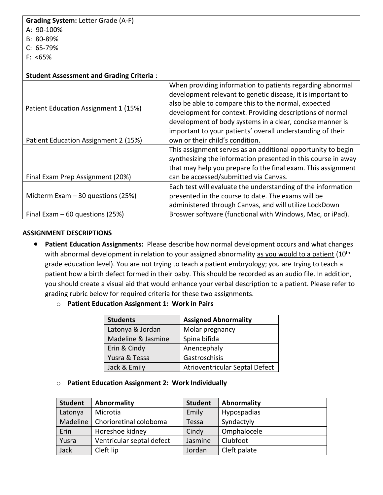| <b>Student Assessment and Grading Criteria:</b> |                                                                                                                                                                                                                                               |
|-------------------------------------------------|-----------------------------------------------------------------------------------------------------------------------------------------------------------------------------------------------------------------------------------------------|
| Patient Education Assignment 1 (15%)            | When providing information to patients regarding abnormal<br>development relevant to genetic disease, it is important to<br>also be able to compare this to the normal, expected<br>development for context. Providing descriptions of normal |
|                                                 | development of body systems in a clear, concise manner is                                                                                                                                                                                     |
|                                                 | important to your patients' overall understanding of their                                                                                                                                                                                    |
| Patient Education Assignment 2 (15%)            | own or their child's condition.                                                                                                                                                                                                               |
|                                                 | This assignment serves as an additional opportunity to begin                                                                                                                                                                                  |
|                                                 | synthesizing the information presented in this course in away                                                                                                                                                                                 |
|                                                 | that may help you prepare fo the final exam. This assignment                                                                                                                                                                                  |
| Final Exam Prep Assignment (20%)                | can be accessed/submitted via Canvas.                                                                                                                                                                                                         |
|                                                 | Each test will evaluate the understanding of the information                                                                                                                                                                                  |
| Midterm Exam $-30$ questions (25%)              | presented in the course to date. The exams will be                                                                                                                                                                                            |
|                                                 | administered through Canvas, and will utilize LockDown                                                                                                                                                                                        |
| Final Exam $-60$ questions (25%)                | Broswer software (functional with Windows, Mac, or iPad).                                                                                                                                                                                     |

### **ASSIGNMENT DESCRIPTIONS**

- **Patient Education Assignments:** Please describe how normal development occurs and what changes with abnormal development in relation to your assigned abnormality as you would to a patient (10<sup>th</sup> grade education level). You are not trying to teach a patient embryology; you are trying to teach a patient how a birth defect formed in their baby. This should be recorded as an audio file. In addition, you should create a visual aid that would enhance your verbal description to a patient. Please refer to grading rubric below for required criteria for these two assignments.
	- o **Patient Education Assignment 1: Work in Pairs**

| <b>Students</b>    | <b>Assigned Abnormality</b>    |
|--------------------|--------------------------------|
| Latonya & Jordan   | Molar pregnancy                |
| Madeline & Jasmine | Spina bifida                   |
| Erin & Cindy       | Anencephaly                    |
| Yusra & Tessa      | Gastroschisis                  |
| Jack & Emily       | Atrioventricular Septal Defect |

### o **Patient Education Assignment 2: Work Individually**

| <b>Student</b> | Abnormality               | <b>Student</b> | Abnormality  |
|----------------|---------------------------|----------------|--------------|
| Latonya        | Microtia                  | Emily          | Hypospadias  |
| Madeline       | Chorioretinal coloboma    | Tessa          | Syndactyly   |
| Erin           | Horeshoe kidney           | Cindy          | Omphalocele  |
| Yusra          | Ventricular septal defect | Jasmine        | Clubfoot     |
| Jack           | Cleft lip                 | Jordan         | Cleft palate |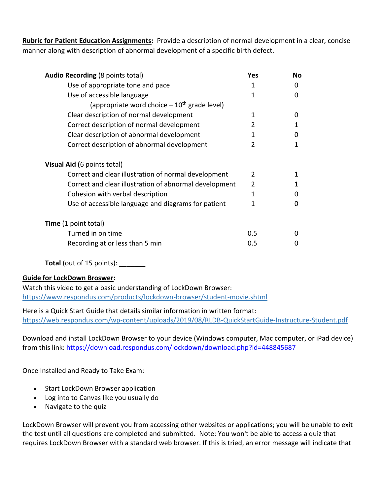**Rubric for Patient Education Assignments:** Provide a description of normal development in a clear, concise manner along with description of abnormal development of a specific birth defect.

| <b>Audio Recording (8 points total)</b>                | Yes            | No |
|--------------------------------------------------------|----------------|----|
| Use of appropriate tone and pace                       | 1              | 0  |
| Use of accessible language                             | 1              | 0  |
| (appropriate word choice $-10^{th}$ grade level)       |                |    |
| Clear description of normal development                | 1              | 0  |
| Correct description of normal development              | $\overline{2}$ | 1  |
| Clear description of abnormal development              | 1              | 0  |
| Correct description of abnormal development            | $\overline{2}$ | 1  |
| Visual Aid (6 points total)                            |                |    |
| Correct and clear illustration of normal development   | 2              | 1  |
| Correct and clear illustration of abnormal development | 2              | 1  |
| Cohesion with verbal description                       | 1              | 0  |
| Use of accessible language and diagrams for patient    | 1              | 0  |
| <b>Time</b> (1 point total)                            |                |    |
| Turned in on time                                      | 0.5            |    |
| Recording at or less than 5 min                        | 0.5            | O  |

**Total** (out of 15 points):

# **Guide for LockDown Broswer:**

Watch this video to get a basic understanding of LockDown Browser: <https://www.respondus.com/products/lockdown-browser/student-movie.shtml>

Here is a Quick Start Guide that details similar information in written format: <https://web.respondus.com/wp-content/uploads/2019/08/RLDB-QuickStartGuide-Instructure-Student.pdf>

Download and install LockDown Browser to your device (Windows computer, Mac computer, or iPad device) from this link: <https://download.respondus.com/lockdown/download.php?id=448845687>

Once Installed and Ready to Take Exam:

- Start LockDown Browser application
- Log into to Canvas like you usually do
- Navigate to the quiz

LockDown Browser will prevent you from accessing other websites or applications; you will be unable to exit the test until all questions are completed and submitted. Note: You won't be able to access a quiz that requires LockDown Browser with a standard web browser. If this is tried, an error message will indicate that